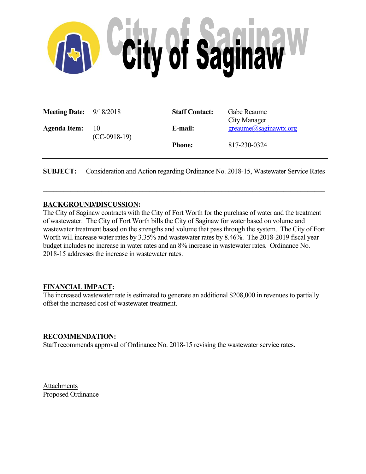

| <b>Meeting Date:</b> $9/18/2018$ |                              | <b>Staff Contact:</b> | Gabe Reaume<br>City Manager     |
|----------------------------------|------------------------------|-----------------------|---------------------------------|
| <b>Agenda Item:</b>              | $\vert$ 10<br>$(CC-0918-19)$ | E-mail:               | $green$ ume $(a)$ saginawtx.org |
|                                  |                              | <b>Phone:</b>         | 817-230-0324                    |

**SUBJECT:** Consideration and Action regarding Ordinance No. 2018-15, Wastewater Service Rates

 $\mathcal{L}_\mathcal{L} = \{ \mathcal{L}_\mathcal{L} = \{ \mathcal{L}_\mathcal{L} = \{ \mathcal{L}_\mathcal{L} = \{ \mathcal{L}_\mathcal{L} = \{ \mathcal{L}_\mathcal{L} = \{ \mathcal{L}_\mathcal{L} = \{ \mathcal{L}_\mathcal{L} = \{ \mathcal{L}_\mathcal{L} = \{ \mathcal{L}_\mathcal{L} = \{ \mathcal{L}_\mathcal{L} = \{ \mathcal{L}_\mathcal{L} = \{ \mathcal{L}_\mathcal{L} = \{ \mathcal{L}_\mathcal{L} = \{ \mathcal{L}_\mathcal{$ 

## **BACKGROUND/DISCUSSION:**

The City of Saginaw contracts with the City of Fort Worth for the purchase of water and the treatment of wastewater. The City of Fort Worth bills the City of Saginaw for water based on volume and wastewater treatment based on the strengths and volume that pass through the system. The City of Fort Worth will increase water rates by 3.35% and wastewater rates by 8.46%. The 2018-2019 fiscal year budget includes no increase in water rates and an 8% increase in wastewater rates. Ordinance No. 2018-15 addresses the increase in wastewater rates.

## **FINANCIAL IMPACT:**

The increased wastewater rate is estimated to generate an additional \$208,000 in revenues to partially offset the increased cost of wastewater treatment.

## **RECOMMENDATION:**

Staff recommends approval of Ordinance No. 2018-15 revising the wastewater service rates.

Attachments Proposed Ordinance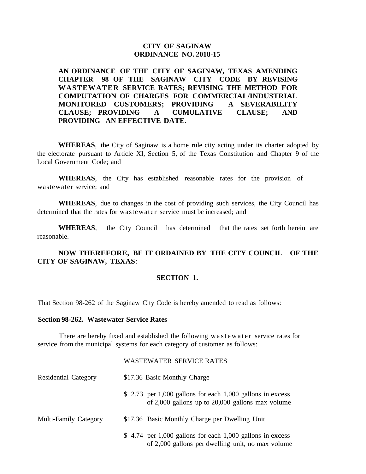## **CITY OF SAGINAW ORDINANCE NO. 2018-15**

**AN ORDINANCE OF THE CITY OF SAGINAW, TEXAS AMENDING CHAPTER 98 OF THE SAGINAW CITY CODE BY REVISING WASTEWATER SERVICE RATES; REVISING THE METHOD FOR COMPUTATION OF CHARGES FOR COMMERCIAL/INDUSTRIAL MONITORED CUSTOMERS; PROVIDING A SEVERABILITY CLAUSE; PROVIDING A CUMULATIVE CLAUSE; AND PROVIDING AN EFFECTIVE DATE.**

**WHEREAS**, the City of Saginaw is a home rule city acting under its charter adopted by the electorate pursuant to Article XI, Section 5, of the Texas Constitution and Chapter 9 of the Local Government Code; and

**WHEREAS**, the City has established reasonable rates for the provision of wastewater service; and

**WHEREAS**, due to changes in the cost of providing such services, the City Council has determined that the rates for wastewater service must be increased; and

**WHEREAS**, the City Council has determined that the rates set forth herein are reasonable.

**NOW THEREFORE, BE IT ORDAINED BY THE CITY COUNCIL OF THE CITY OF SAGINAW, TEXAS**:

## **SECTION 1.**

That Section 98-262 of the Saginaw City Code is hereby amended to read as follows:

### **Section 98-262. Wastewater Service Rates**

There are hereby fixed and established the following w a stewater service rates for service from the municipal systems for each category of customer as follows:

#### WASTEWATER SERVICE RATES

| <b>Residential Category</b> | \$17.36 Basic Monthly Charge                                                                                       |  |  |
|-----------------------------|--------------------------------------------------------------------------------------------------------------------|--|--|
|                             | \$ 2.73 per 1,000 gallons for each 1,000 gallons in excess<br>of $2,000$ gallons up to $20,000$ gallons max volume |  |  |
| Multi-Family Category       | \$17.36 Basic Monthly Charge per Dwelling Unit                                                                     |  |  |
|                             | $$4.74$ per 1,000 gallons for each 1,000 gallons in excess<br>of 2,000 gallons per dwelling unit, no max volume    |  |  |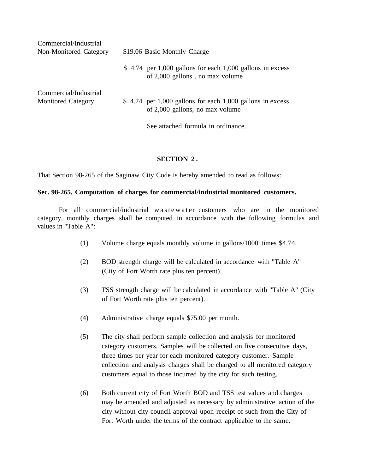| Commercial/Industrial<br>Non-Monitored Category    | \$19.06 Basic Monthly Charge                                                                  |  |  |
|----------------------------------------------------|-----------------------------------------------------------------------------------------------|--|--|
|                                                    | $$4.74$ per 1,000 gallons for each 1,000 gallons in excess<br>of 2,000 gallons, no max volume |  |  |
| Commercial/Industrial<br><b>Monitored Category</b> | $$4.74$ per 1,000 gallons for each 1,000 gallons in excess<br>of 2,000 gallons, no max volume |  |  |
|                                                    | See attached formula in ordinance.                                                            |  |  |

#### **SECTION 2 .**

That Section 98-265 of the Saginaw City Code is hereby amended to read as follows:

#### **Sec. 98-265. Computation of charges for commercial/industrial monitored customers.**

For all commercial/industrial w as tew atter customers who are in the monitored category, monthly charges shall be computed in accordance with the following formulas and values in "Table A":

- (1) Volume charge equals monthly volume in gallons/1000 times \$4.74.
- (2) BOD strength charge will be calculated in accordance with "Table A" (City of Fort Worth rate plus ten percent).
- (3) TSS strength charge will be calculated in accordance with "Table A" (City of Fort Worth rate plus ten percent).
- (4) Administrative charge equals \$75.00 per month.
- (5) The city shall perform sample collection and analysis for monitored category customers. Samples will be collected on five consecutive days, three times per year for each monitored category customer. Sample collection and analysis charges shall be charged to all monitored category customers equal to those incurred by the city for such testing.
- (6) Both current city of Fort Worth BOD and TSS test values and charges may be amended and adjusted as necessary by administrative action of the city without city council approval upon receipt of such from the City of Fort Worth under the terms of the contract applicable to the same.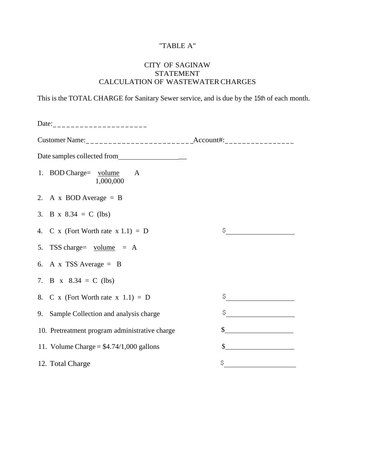# "TABLE A"

# CITY OF SAGINAW STATEMENT CALCULATION OF WASTEWATER CHARGES

This is the TOTAL CHARGE for Sanitary Sewer service, and is due by the 15th of each month.

| Date: ________________________                 |                                                                                                                                                                                                                                                                                                                                                     |
|------------------------------------------------|-----------------------------------------------------------------------------------------------------------------------------------------------------------------------------------------------------------------------------------------------------------------------------------------------------------------------------------------------------|
|                                                |                                                                                                                                                                                                                                                                                                                                                     |
| Date samples collected from                    |                                                                                                                                                                                                                                                                                                                                                     |
| 1. BOD Charge= volume A<br>1,000,000           |                                                                                                                                                                                                                                                                                                                                                     |
| 2. A x BOD Average = $B$                       |                                                                                                                                                                                                                                                                                                                                                     |
| 3. B x $8.34 = C$ (lbs)                        |                                                                                                                                                                                                                                                                                                                                                     |
| 4. C x (Fort Worth rate $x 1.1$ ) = D          | $\begin{picture}(20,10) \put(0,0){\line(1,0){10}} \put(15,0){\line(1,0){10}} \put(15,0){\line(1,0){10}} \put(15,0){\line(1,0){10}} \put(15,0){\line(1,0){10}} \put(15,0){\line(1,0){10}} \put(15,0){\line(1,0){10}} \put(15,0){\line(1,0){10}} \put(15,0){\line(1,0){10}} \put(15,0){\line(1,0){10}} \put(15,0){\line(1,0){10}} \put(15,0){\line(1$ |
| 5. TSS charge= $volume = A$                    |                                                                                                                                                                                                                                                                                                                                                     |
| 6. A x TSS Average = $B$                       |                                                                                                                                                                                                                                                                                                                                                     |
| 7. B x $8.34 = C$ (lbs)                        |                                                                                                                                                                                                                                                                                                                                                     |
| 8. C x (Fort Worth rate $x \in (1,1) = D$      | $\mathfrak{S}$                                                                                                                                                                                                                                                                                                                                      |
| 9. Sample Collection and analysis charge       | $\hat{\mathbf{S}}$                                                                                                                                                                                                                                                                                                                                  |
| 10. Pretreatment program administrative charge |                                                                                                                                                                                                                                                                                                                                                     |
| 11. Volume Charge = $$4.74/1,000$ gallons      | $\begin{array}{c c c c c} \hline \textbf{S} & \textbf{S} & \textbf{S} & \textbf{S} & \textbf{S} \\ \hline \end{array}$                                                                                                                                                                                                                              |
| 12. Total Charge                               | \$                                                                                                                                                                                                                                                                                                                                                  |